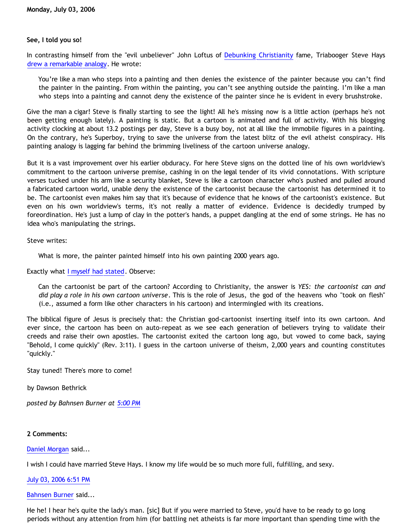## **See, I told you so!**

In contrasting himself from the "evil unbeliever" John Loftus of [Debunking Christianity](http://debunkingchristianity.blogspot.com/) fame, Triabooger Steve Hays [drew a remarkable analogy.](http://triablogue.blogspot.com/2006/07/is-this-god-i-worship.html) He wrote:

You're like a man who steps into a painting and then denies the existence of the painter because you can't find the painter in the painting. From within the painting, you can't see anything outside the painting. I'm like a man who steps into a painting and cannot deny the existence of the painter since he is evident in every brushstroke.

Give the man a cigar! Steve is finally starting to see the light! All he's missing now is a little action (perhaps he's not been getting enough lately). A painting is static. But a cartoon is animated and full of activity. With his blogging activity clocking at about 13.2 postings per day, Steve is a busy boy, not at all like the immobile figures in a painting. On the contrary, he's Superboy, trying to save the universe from the latest blitz of the evil atheist conspiracy. His painting analogy is lagging far behind the brimming liveliness of the cartoon universe analogy.

But it is a vast improvement over his earlier obduracy. For here Steve signs on the dotted line of his own worldview's commitment to the cartoon universe premise, cashing in on the legal tender of its vivid connotations. With scripture verses tucked under his arm like a security blanket, Steve is like a cartoon character who's pushed and pulled around a fabricated cartoon world, unable deny the existence of the cartoonist because the cartoonist has determined it to be. The cartoonist even makes him say that it's because of evidence that he knows of the cartoonist's existence. But even on his own worldview's terms, it's not really a matter of evidence. Evidence is decidedly trumped by foreordination. He's just a lump of clay in the potter's hands, a puppet dangling at the end of some strings. He has no idea who's manipulating the strings.

Steve writes:

What is more, the painter painted himself into his own painting 2000 years ago.

Exactly what [I myself had stated](http://bahnsenburner.blogspot.com/2006/06/steves-persisting-haysiness.html). Observe:

Can the cartoonist be part of the cartoon? According to Christianity, the answer is *YES: the cartoonist can and did play a role in his own cartoon universe*. This is the role of Jesus, the god of the heavens who "took on flesh" (i.e., assumed a form like other characters in his cartoon) and intermingled with its creations.

The biblical figure of Jesus is precisely that: the Christian god-cartoonist inserting itself into its own cartoon. And ever since, the cartoon has been on auto-repeat as we see each generation of believers trying to validate their creeds and raise their own apostles. The cartoonist exited the cartoon long ago, but vowed to come back, saying "Behold, I come quickly" (Rev. 3:11). I guess in the cartoon universe of theism, 2,000 years and counting constitutes "quickly."

Stay tuned! There's more to come!

by Dawson Bethrick

*posted by Bahnsen Burner at [5:00 PM](http://bahnsenburner.blogspot.com/2006/07/see-i-told-you-so.html)*

## **2 Comments:**

[Daniel Morgan](http://www.blogger.com/profile/15150803) said...

I wish I could have married Steve Hays. I know my life would be so much more full, fulfilling, and sexy.

[July 03, 2006 6:51 PM](http://bahnsenburner.blogspot.com/2006/07/115197790526852857)

[Bahnsen Burner](http://www.blogger.com/profile/7766918) said...

He he! I hear he's quite the lady's man. [sic] But if you were married to Steve, you'd have to be ready to go long periods without any attention from him (for battling net atheists is far more important than spending time with the